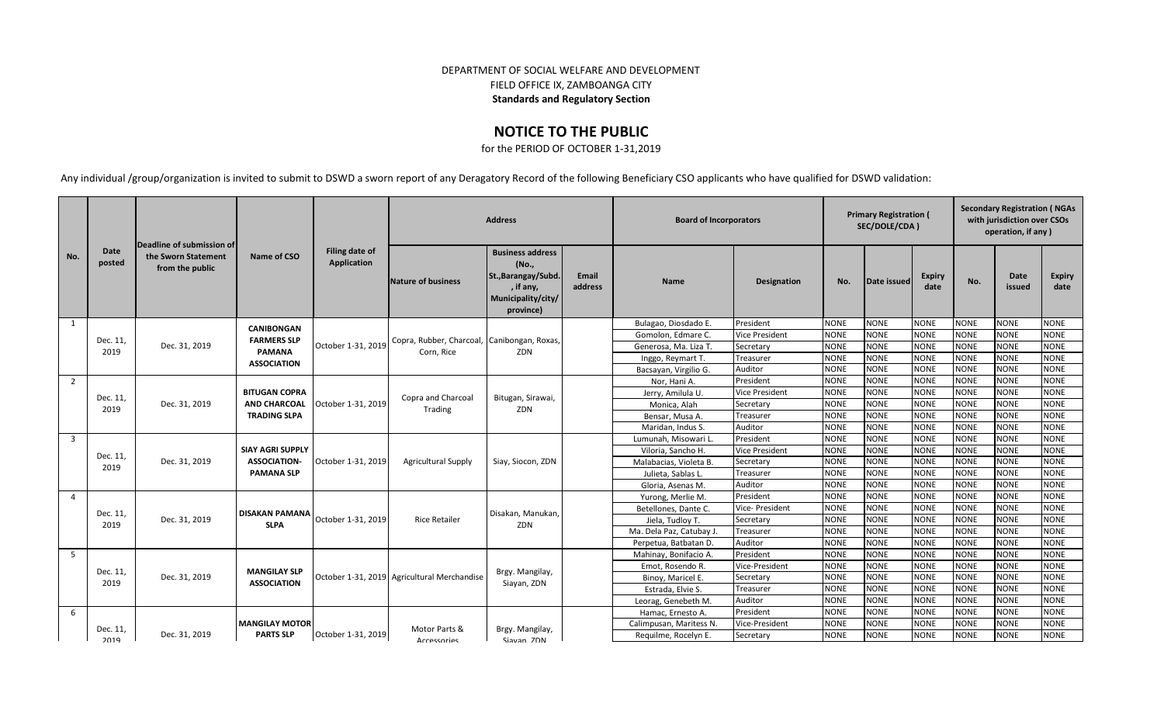## DEPARTMENT OF SOCIAL WELFARE AND DEVELOPMENT FIELD OFFICE IX, ZAMBOANGA CITY **Standards and Regulatory Section**

## **NOTICE TO THE PUBLIC**

for the PERIOD OF OCTOBER 1-31,2019

Any individual /group/organization is invited to submit to DSWD a sworn report of any Deragatory Record of the following Beneficiary CSO applicants who have qualified for DSWD validation:

|                         |                       | Deadline of submission of              |                                                                     | <b>Address</b>                |                                             |                                                                                                         |                         | <b>Board of Incorporators</b> |                                                                                      |             | <b>Primary Registration (</b><br>SEC/DOLE/CDA) |                       | <b>Secondary Registration (NGAs</b><br>with jurisdiction over CSOs<br>operation, if any) |                |                       |             |
|-------------------------|-----------------------|----------------------------------------|---------------------------------------------------------------------|-------------------------------|---------------------------------------------|---------------------------------------------------------------------------------------------------------|-------------------------|-------------------------------|--------------------------------------------------------------------------------------|-------------|------------------------------------------------|-----------------------|------------------------------------------------------------------------------------------|----------------|-----------------------|-------------|
| No.                     | <b>Date</b><br>posted | the Sworn Statement<br>from the public | Name of CSO                                                         | Filing date of<br>Application | Nature of business                          | <b>Business address</b><br>(No.,<br>St., Barangay/Subd.<br>, if any,<br>Municipality/city/<br>province) | <b>Email</b><br>address | <b>Name</b>                   | Designation                                                                          | No.         | Date issued                                    | <b>Expiry</b><br>date | No.                                                                                      | Date<br>issued | <b>Expiry</b><br>date |             |
| 1                       |                       |                                        | <b>CANIBONGAN</b>                                                   |                               |                                             |                                                                                                         |                         | Bulagao, Diosdado E.          | President                                                                            | <b>NONE</b> | <b>NONE</b>                                    | <b>NONE</b>           | <b>NONE</b>                                                                              | <b>NONE</b>    | <b>NONE</b>           |             |
|                         | Dec. 11,              |                                        | <b>FARMERS SLP</b>                                                  |                               | Copra, Rubber, Charcoal, Canibongan, Roxas, |                                                                                                         |                         | Gomolon. Edmare C.            | <b>Vice President</b>                                                                | <b>NONE</b> | <b>NONE</b>                                    | <b>NONE</b>           | <b>NONE</b>                                                                              | <b>NONE</b>    | <b>NONE</b>           |             |
|                         | 2019                  | Dec. 31, 2019                          | <b>PAMANA</b>                                                       | October 1-31, 2019            | Corn, Rice                                  | ZDN                                                                                                     |                         | Generosa, Ma. Liza T.         | Secretary                                                                            | <b>NONE</b> | <b>NONE</b>                                    | <b>NONE</b>           | <b>NONE</b>                                                                              | <b>NONE</b>    | <b>NONE</b>           |             |
|                         |                       |                                        | <b>ASSOCIATION</b>                                                  |                               |                                             |                                                                                                         |                         | Inggo, Reymart T.             | Treasurer                                                                            | <b>NONE</b> | <b>NONE</b>                                    | <b>NONE</b>           | <b>NONE</b>                                                                              | <b>NONE</b>    | <b>NONE</b>           |             |
|                         |                       |                                        |                                                                     |                               |                                             |                                                                                                         |                         | Bacsayan, Virgilio G.         | Auditor                                                                              | <b>NONE</b> | <b>NONE</b>                                    | <b>NONE</b>           | <b>NONE</b>                                                                              | <b>NONE</b>    | <b>NONE</b>           |             |
| $\overline{2}$          |                       |                                        |                                                                     |                               | Copra and Charcoal                          |                                                                                                         |                         | Nor, Hani A.                  | President                                                                            | <b>NONE</b> | <b>NONE</b>                                    | <b>NONE</b>           | <b>NONE</b>                                                                              | <b>NONE</b>    | <b>NONE</b>           |             |
|                         | Dec. 11,              |                                        | <b>BITUGAN COPRA</b>                                                |                               |                                             | Bitugan, Sirawai,                                                                                       |                         | Jerry, Amilula U.             | <b>Vice President</b>                                                                | <b>NONE</b> | <b>NONE</b>                                    | <b>NONE</b>           | <b>NONE</b>                                                                              | <b>NONE</b>    | <b>NONE</b>           |             |
|                         | 2019                  | Dec. 31, 2019                          | <b>AND CHARCOAL</b>                                                 | October 1-31, 2019            | Trading                                     | ZDN                                                                                                     |                         | Monica, Alah                  | <b>NONE</b><br><b>NONE</b><br><b>NONE</b><br><b>NONE</b><br><b>NONE</b><br>Secretary | <b>NONE</b> |                                                |                       |                                                                                          |                |                       |             |
|                         |                       |                                        | <b>TRADING SLPA</b>                                                 |                               |                                             |                                                                                                         |                         | Bensar, Musa A.               | Treasurer                                                                            | <b>NONE</b> | <b>NONE</b>                                    | <b>NONE</b>           | <b>NONE</b><br><b>NONE</b><br><b>NONE</b><br><b>NONE</b><br><b>NONE</b><br><b>NONE</b>   |                |                       |             |
|                         |                       |                                        |                                                                     |                               |                                             |                                                                                                         |                         | Maridan, Indus S.             | Auditor                                                                              | <b>NONE</b> | <b>NONE</b>                                    | <b>NONE</b>           |                                                                                          |                |                       |             |
| $\overline{\mathbf{3}}$ |                       |                                        | <b>SIAY AGRI SUPPLY</b><br><b>ASSOCIATION-</b><br><b>PAMANA SLP</b> |                               |                                             |                                                                                                         |                         |                               | Lumunah, Misowari L                                                                  | President   | <b>NONE</b>                                    | <b>NONE</b>           | <b>NONE</b>                                                                              | <b>NONE</b>    | <b>NONE</b>           | <b>NONE</b> |
|                         | Dec. 11,              |                                        |                                                                     | October 1-31, 2019            |                                             |                                                                                                         |                         | Viloria, Sancho H.            | <b>Vice President</b>                                                                | <b>NONE</b> | <b>NONE</b>                                    | <b>NONE</b>           | <b>NONE</b>                                                                              | <b>NONE</b>    | <b>NONE</b>           |             |
|                         | 2019                  | Dec. 31, 2019                          |                                                                     |                               | <b>Agricultural Supply</b>                  | Siay, Siocon, ZDN                                                                                       |                         | Malabacias, Violeta B.        | Secretary                                                                            | <b>NONE</b> | <b>NONE</b>                                    | <b>NONE</b>           | <b>NONE</b>                                                                              | <b>NONE</b>    | <b>NONE</b>           |             |
|                         |                       |                                        |                                                                     |                               |                                             |                                                                                                         |                         | Julieta, Sablas L.            | Treasurer                                                                            | <b>NONE</b> | <b>NONE</b>                                    | <b>NONE</b>           | <b>NONE</b>                                                                              | <b>NONE</b>    | <b>NONE</b>           |             |
|                         |                       |                                        |                                                                     |                               |                                             |                                                                                                         |                         | Gloria, Asenas M.             | Auditor                                                                              | <b>NONE</b> | <b>NONE</b>                                    | <b>NONE</b>           | <b>NONE</b>                                                                              | <b>NONE</b>    | <b>NONE</b>           |             |
| $\overline{4}$          |                       |                                        |                                                                     |                               |                                             |                                                                                                         |                         | Yurong, Merlie M.             | President                                                                            | <b>NONE</b> | <b>NONE</b>                                    | <b>NONE</b>           | <b>NONE</b>                                                                              | <b>NONE</b>    | <b>NONE</b>           |             |
|                         | Dec. 11,              |                                        | <b>DISAKAN PAMANA</b>                                               |                               | <b>Rice Retailer</b>                        | Disakan, Manukan,<br>ZDN                                                                                |                         | Betellones, Dante C.          | Vice- President                                                                      | <b>NONE</b> | <b>NONE</b>                                    | <b>NONE</b>           | <b>NONE</b>                                                                              | <b>NONE</b>    | <b>NONE</b>           |             |
|                         | 2019                  | Dec. 31, 2019                          | <b>SLPA</b>                                                         | October 1-31, 2019            |                                             |                                                                                                         |                         | Jiela, Tudloy T.              | Secretary                                                                            | <b>NONE</b> | <b>NONE</b>                                    | <b>NONE</b>           | <b>NONE</b>                                                                              | <b>NONE</b>    | <b>NONE</b>           |             |
|                         |                       |                                        |                                                                     |                               |                                             |                                                                                                         |                         | Ma. Dela Paz, Catubay J.      | Treasurer                                                                            | <b>NONE</b> | <b>NONE</b>                                    | <b>NONE</b>           | <b>NONE</b>                                                                              | <b>NONE</b>    | <b>NONE</b>           |             |
|                         |                       |                                        |                                                                     |                               |                                             |                                                                                                         |                         | Perpetua, Batbatan D.         | Auditor                                                                              | <b>NONE</b> | <b>NONE</b>                                    | <b>NONE</b>           | <b>NONE</b>                                                                              | <b>NONE</b>    | <b>NONE</b>           |             |
| 5 <sup>5</sup>          |                       |                                        |                                                                     |                               |                                             |                                                                                                         |                         | Mahinay, Bonifacio A.         | President                                                                            | <b>NONE</b> | <b>NONE</b>                                    | <b>NONE</b>           | <b>NONE</b>                                                                              | <b>NONE</b>    | <b>NONE</b>           |             |
|                         | Dec. 11,              |                                        | <b>MANGILAY SLP</b>                                                 |                               |                                             | Brgy. Mangilay,                                                                                         |                         | Emot, Rosendo R.              | Vice-President                                                                       | <b>NONE</b> | <b>NONE</b>                                    | <b>NONE</b>           | <b>NONE</b>                                                                              | <b>NONE</b>    | <b>NONE</b>           |             |
|                         | 2019                  | Dec. 31, 2019                          | <b>ASSOCIATION</b>                                                  |                               | October 1-31, 2019 Agricultural Merchandise | Siayan, ZDN                                                                                             |                         | Binoy, Maricel E.             | Secretary                                                                            | <b>NONE</b> | <b>NONE</b>                                    | <b>NONE</b>           | <b>NONE</b>                                                                              | <b>NONE</b>    | <b>NONE</b>           |             |
|                         |                       |                                        |                                                                     |                               |                                             |                                                                                                         |                         | Estrada, Elvie S.             | Treasurer                                                                            | <b>NONE</b> | <b>NONE</b>                                    | <b>NONE</b>           | <b>NONE</b>                                                                              | <b>NONE</b>    | <b>NONE</b>           |             |
|                         |                       |                                        |                                                                     |                               |                                             |                                                                                                         |                         | Leorag, Genebeth M.           | Auditor                                                                              | <b>NONE</b> | <b>NONE</b>                                    | <b>NONE</b>           | <b>NONE</b>                                                                              | <b>NONE</b>    | <b>NONE</b>           |             |
| 6                       |                       |                                        |                                                                     |                               |                                             |                                                                                                         |                         | Hamac, Ernesto A.             | President                                                                            | <b>NONE</b> | <b>NONE</b>                                    | <b>NONE</b>           | <b>NONE</b>                                                                              | <b>NONE</b>    | <b>NONE</b>           |             |
|                         | Dec. 11,              |                                        | <b>MANGILAY MOTOR</b>                                               |                               | Motor Parts &                               | Brgy. Mangilay,                                                                                         |                         | Calimpusan, Maritess N.       | Vice-President                                                                       | <b>NONE</b> | <b>NONE</b>                                    | <b>NONE</b>           | <b>NONE</b>                                                                              | <b>NONE</b>    | <b>NONE</b>           |             |
|                         | 2019                  | Dec. 31, 2019                          | <b>PARTS SLP</b>                                                    | October 1-31, 2019            | Arressories                                 | Siavan 7DN                                                                                              |                         | Requilme, Rocelyn E.          | Secretary                                                                            | <b>NONE</b> | <b>NONE</b>                                    | <b>NONE</b>           | <b>NONE</b>                                                                              | <b>NONE</b>    | <b>NONE</b>           |             |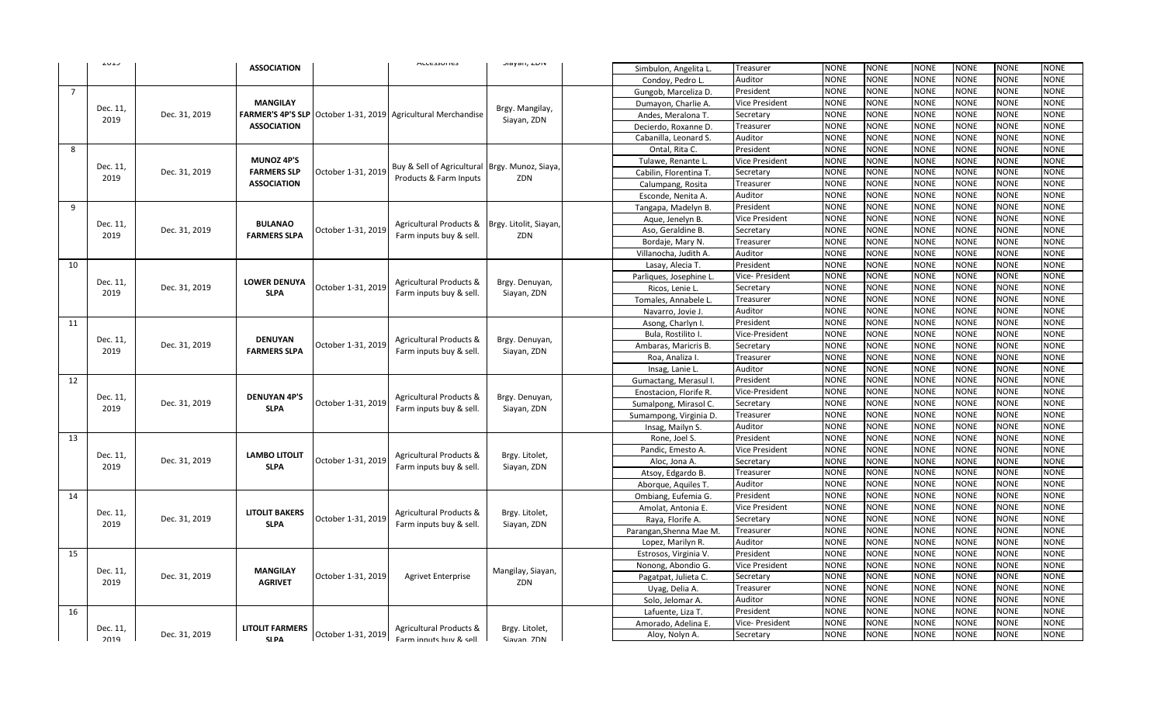|             | ر د نام          |               | <b>ASSOCIATION</b>                |                    | <b>MULESSUITES</b>                                 | Jiayari, LUIV                | Simbulon, Angelita L.   | Treasurer              | <b>NONE</b>     | <b>NONE</b> | <b>NONE</b> | <b>NONE</b> | <b>NONE</b>                                                                                                                                                                                                                                                                                                                                                                                                                                                                                                                                                                                                                                                                                                                                                 |                                                                                                                                                                                                                                                                                                                                                                                                                                                                                                                                                                                                                                                                                                                  |  |
|-------------|------------------|---------------|-----------------------------------|--------------------|----------------------------------------------------|------------------------------|-------------------------|------------------------|-----------------|-------------|-------------|-------------|-------------------------------------------------------------------------------------------------------------------------------------------------------------------------------------------------------------------------------------------------------------------------------------------------------------------------------------------------------------------------------------------------------------------------------------------------------------------------------------------------------------------------------------------------------------------------------------------------------------------------------------------------------------------------------------------------------------------------------------------------------------|------------------------------------------------------------------------------------------------------------------------------------------------------------------------------------------------------------------------------------------------------------------------------------------------------------------------------------------------------------------------------------------------------------------------------------------------------------------------------------------------------------------------------------------------------------------------------------------------------------------------------------------------------------------------------------------------------------------|--|
|             |                  |               |                                   |                    |                                                    |                              | Condoy, Pedro L         | Auditor                | <b>NONE</b>     | <b>NONE</b> | <b>NONE</b> | <b>NONE</b> |                                                                                                                                                                                                                                                                                                                                                                                                                                                                                                                                                                                                                                                                                                                                                             |                                                                                                                                                                                                                                                                                                                                                                                                                                                                                                                                                                                                                                                                                                                  |  |
| $7^{\circ}$ |                  |               |                                   |                    |                                                    |                              | Gungob, Marceliza D.    | President              | <b>NONE</b>     | <b>NONE</b> | <b>NONE</b> | <b>NONE</b> |                                                                                                                                                                                                                                                                                                                                                                                                                                                                                                                                                                                                                                                                                                                                                             |                                                                                                                                                                                                                                                                                                                                                                                                                                                                                                                                                                                                                                                                                                                  |  |
|             |                  |               | <b>MANGILAY</b>                   |                    |                                                    |                              | Dumayon, Charlie A.     | Vice President         | <b>NONE</b>     | <b>NONE</b> | <b>NONE</b> | <b>NONE</b> |                                                                                                                                                                                                                                                                                                                                                                                                                                                                                                                                                                                                                                                                                                                                                             |                                                                                                                                                                                                                                                                                                                                                                                                                                                                                                                                                                                                                                                                                                                  |  |
|             | Dec. 11,         | Dec. 31, 2019 | <b>FARMER'S 4P'S SLP</b>          |                    | October 1-31, 2019 Agricultural Merchandise        | Brgy. Mangilay,              | Andes, Meralona T.      | Secretary              | <b>NONE</b>     | <b>NONE</b> | <b>NONE</b> | <b>NONE</b> |                                                                                                                                                                                                                                                                                                                                                                                                                                                                                                                                                                                                                                                                                                                                                             | <b>NONE</b><br><b>NONE</b><br><b>NONE</b><br><b>NONE</b><br><b>NONE</b><br><b>NONE</b><br><b>NONE</b><br><b>NONE</b><br><b>NONE</b><br><b>NONE</b><br>NONE<br><b>NONE</b><br><b>NONE</b><br><b>NONE</b><br><b>NONE</b><br><b>NONE</b><br><b>NONE</b><br><b>NONE</b><br><b>NONE</b><br><b>NONE</b><br><b>NONE</b><br><b>NONE</b><br><b>NONE</b><br><b>NONE</b><br><b>NONE</b><br>NONE<br><b>NONE</b><br><b>NONE</b><br><b>NONE</b><br><b>NONE</b><br><b>NONE</b><br><b>NONE</b><br><b>NONE</b><br><b>NONE</b><br><b>NONE</b><br><b>NONE</b><br><b>NONE</b><br><b>NONE</b><br><b>NONE</b><br><b>NONE</b><br><b>NONE</b><br><b>NONE</b><br><b>NONE</b><br><b>NONE</b><br>NONE<br><b>NONE</b><br>NONE<br><b>NONE</b> |  |
|             | 2019             |               | <b>ASSOCIATION</b>                |                    |                                                    | Siayan, ZDN                  | Decierdo, Roxanne D.    | Treasurer              | <b>NONE</b>     | <b>NONE</b> | <b>NONE</b> | <b>NONE</b> |                                                                                                                                                                                                                                                                                                                                                                                                                                                                                                                                                                                                                                                                                                                                                             |                                                                                                                                                                                                                                                                                                                                                                                                                                                                                                                                                                                                                                                                                                                  |  |
|             |                  |               |                                   |                    |                                                    |                              | Cabanilla, Leonard S.   | Auditor                | <b>NONE</b>     | <b>NONE</b> | <b>NONE</b> | <b>NONE</b> |                                                                                                                                                                                                                                                                                                                                                                                                                                                                                                                                                                                                                                                                                                                                                             |                                                                                                                                                                                                                                                                                                                                                                                                                                                                                                                                                                                                                                                                                                                  |  |
| 8           |                  |               |                                   |                    |                                                    |                              | Ontal, Rita C.          | President              | <b>NONE</b>     | <b>NONE</b> | <b>NONE</b> | <b>NONE</b> |                                                                                                                                                                                                                                                                                                                                                                                                                                                                                                                                                                                                                                                                                                                                                             |                                                                                                                                                                                                                                                                                                                                                                                                                                                                                                                                                                                                                                                                                                                  |  |
|             |                  |               | <b>MUNOZ 4P'S</b>                 |                    |                                                    |                              | Tulawe, Renante L.      | Vice President         | <b>NONE</b>     | <b>NONE</b> | <b>NONE</b> | <b>NONE</b> |                                                                                                                                                                                                                                                                                                                                                                                                                                                                                                                                                                                                                                                                                                                                                             |                                                                                                                                                                                                                                                                                                                                                                                                                                                                                                                                                                                                                                                                                                                  |  |
|             | Dec. 11,         | Dec. 31, 2019 | <b>FARMERS SLP</b>                | October 1-31, 2019 | Buy & Sell of Agricultural Brgy. Munoz, Siaya,     |                              | Cabilin, Florentina T.  | Secretary              | <b>NONE</b>     | <b>NONE</b> | <b>NONE</b> | <b>NONE</b> |                                                                                                                                                                                                                                                                                                                                                                                                                                                                                                                                                                                                                                                                                                                                                             |                                                                                                                                                                                                                                                                                                                                                                                                                                                                                                                                                                                                                                                                                                                  |  |
|             | 2019             |               | <b>ASSOCIATION</b>                |                    | Products & Farm Inputs                             | ZDN                          | Calumpang, Rosita       | Treasurer              | <b>NONE</b>     | <b>NONE</b> | <b>NONE</b> | <b>NONE</b> |                                                                                                                                                                                                                                                                                                                                                                                                                                                                                                                                                                                                                                                                                                                                                             |                                                                                                                                                                                                                                                                                                                                                                                                                                                                                                                                                                                                                                                                                                                  |  |
|             |                  |               |                                   |                    |                                                    |                              | Esconde, Nenita A.      | Auditor                | <b>NONE</b>     | <b>NONE</b> | <b>NONE</b> | <b>NONE</b> |                                                                                                                                                                                                                                                                                                                                                                                                                                                                                                                                                                                                                                                                                                                                                             |                                                                                                                                                                                                                                                                                                                                                                                                                                                                                                                                                                                                                                                                                                                  |  |
| 9           |                  |               |                                   |                    |                                                    |                              | Tangapa, Madelyn B.     | President              | <b>NONE</b>     | <b>NONE</b> | <b>NONE</b> | <b>NONE</b> |                                                                                                                                                                                                                                                                                                                                                                                                                                                                                                                                                                                                                                                                                                                                                             |                                                                                                                                                                                                                                                                                                                                                                                                                                                                                                                                                                                                                                                                                                                  |  |
|             |                  |               |                                   |                    |                                                    |                              | Aque, Jenelyn B.        | Vice President         | <b>NONE</b>     | <b>NONE</b> | <b>NONE</b> | <b>NONE</b> |                                                                                                                                                                                                                                                                                                                                                                                                                                                                                                                                                                                                                                                                                                                                                             |                                                                                                                                                                                                                                                                                                                                                                                                                                                                                                                                                                                                                                                                                                                  |  |
|             | Dec. 11,         | Dec. 31, 2019 | <b>BULANAO</b>                    | October 1-31, 2019 | Agricultural Products &                            | Brgy. Litolit, Siayan        | Aso, Geraldine B.       | Secretary              | <b>NONE</b>     | <b>NONE</b> | <b>NONE</b> | <b>NONE</b> |                                                                                                                                                                                                                                                                                                                                                                                                                                                                                                                                                                                                                                                                                                                                                             |                                                                                                                                                                                                                                                                                                                                                                                                                                                                                                                                                                                                                                                                                                                  |  |
|             | 2019             |               | <b>FARMERS SLPA</b>               |                    | Farm inputs buy & sell.                            | ZDN                          | Bordaje, Mary N.        | Treasurer              | <b>NONE</b>     | <b>NONE</b> | <b>NONE</b> | <b>NONE</b> |                                                                                                                                                                                                                                                                                                                                                                                                                                                                                                                                                                                                                                                                                                                                                             |                                                                                                                                                                                                                                                                                                                                                                                                                                                                                                                                                                                                                                                                                                                  |  |
|             |                  |               |                                   |                    |                                                    |                              | Villanocha, Judith A    | Auditor                | <b>NONE</b>     | <b>NONE</b> | <b>NONE</b> | <b>NONE</b> |                                                                                                                                                                                                                                                                                                                                                                                                                                                                                                                                                                                                                                                                                                                                                             |                                                                                                                                                                                                                                                                                                                                                                                                                                                                                                                                                                                                                                                                                                                  |  |
| 10          |                  |               |                                   |                    |                                                    |                              | Lasay, Alecia T.        | President              | <b>NONE</b>     | <b>NONE</b> | <b>NONE</b> | <b>NONE</b> |                                                                                                                                                                                                                                                                                                                                                                                                                                                                                                                                                                                                                                                                                                                                                             |                                                                                                                                                                                                                                                                                                                                                                                                                                                                                                                                                                                                                                                                                                                  |  |
|             |                  |               | <b>LOWER DENUYA</b>               |                    |                                                    |                              |                         | Parliques, Josephine L | Vice- President | <b>NONE</b> | <b>NONE</b> | <b>NONE</b> | <b>NONE</b>                                                                                                                                                                                                                                                                                                                                                                                                                                                                                                                                                                                                                                                                                                                                                 |                                                                                                                                                                                                                                                                                                                                                                                                                                                                                                                                                                                                                                                                                                                  |  |
|             | Dec. 11,         | Dec. 31, 2019 |                                   | October 1-31, 2019 | Agricultural Products &                            | Brgy. Denuyan,               | Ricos, Lenie L          | Secretary              | <b>NONE</b>     | <b>NONE</b> | <b>NONE</b> | <b>NONE</b> |                                                                                                                                                                                                                                                                                                                                                                                                                                                                                                                                                                                                                                                                                                                                                             |                                                                                                                                                                                                                                                                                                                                                                                                                                                                                                                                                                                                                                                                                                                  |  |
|             | 2019             |               | <b>SLPA</b>                       |                    | Farm inputs buy & sell.                            | Siayan, ZDN                  | Tomales, Annabele L     | Treasurer              | <b>NONE</b>     | <b>NONE</b> | <b>NONE</b> | <b>NONE</b> | <b>NONE</b><br><b>NONE</b><br><b>NONE</b><br><b>NONE</b><br><b>NONE</b><br><b>NONE</b><br><b>NONE</b><br><b>NONE</b><br><b>NONE</b><br><b>NONE</b><br><b>NONE</b><br><b>NONE</b><br><b>NONE</b><br><b>NONE</b><br><b>NONE</b><br><b>NONE</b><br><b>NONE</b><br><b>NONE</b><br><b>NONE</b><br><b>NONE</b><br><b>NONE</b><br><b>NONE</b><br><b>NONE</b><br><b>NONE</b><br><b>NONE</b><br><b>NONE</b><br><b>NONE</b><br><b>NONE</b><br><b>NONE</b><br><b>NONE</b><br><b>NONE</b><br><b>NONE</b><br><b>NONE</b><br><b>NONE</b><br><b>NONE</b><br><b>NONE</b><br><b>NONE</b><br><b>NONE</b><br><b>NONE</b><br><b>NONE</b><br><b>NONE</b><br><b>NONE</b><br><b>NONE</b><br><b>NONE</b><br><b>NONE</b><br><b>NONE</b><br><b>NONE</b><br><b>NONE</b><br><b>NONE</b> |                                                                                                                                                                                                                                                                                                                                                                                                                                                                                                                                                                                                                                                                                                                  |  |
|             |                  |               |                                   |                    |                                                    | Navarro, Jovie J             | Auditor                 | <b>NONE</b>            | <b>NONE</b>     | <b>NONE</b> | <b>NONE</b> |             |                                                                                                                                                                                                                                                                                                                                                                                                                                                                                                                                                                                                                                                                                                                                                             |                                                                                                                                                                                                                                                                                                                                                                                                                                                                                                                                                                                                                                                                                                                  |  |
| 11          |                  |               |                                   |                    |                                                    |                              | Asong, Charlyn I.       | President              | <b>NONE</b>     | <b>NONE</b> | <b>NONE</b> | <b>NONE</b> |                                                                                                                                                                                                                                                                                                                                                                                                                                                                                                                                                                                                                                                                                                                                                             |                                                                                                                                                                                                                                                                                                                                                                                                                                                                                                                                                                                                                                                                                                                  |  |
|             |                  |               |                                   | October 1-31, 2019 | Agricultural Products &                            | Brgy. Denuyan,               | Bula, Rostilito I       | Vice-President         | <b>NONE</b>     | <b>NONE</b> | <b>NONE</b> | <b>NONE</b> |                                                                                                                                                                                                                                                                                                                                                                                                                                                                                                                                                                                                                                                                                                                                                             |                                                                                                                                                                                                                                                                                                                                                                                                                                                                                                                                                                                                                                                                                                                  |  |
|             | Dec. 11,         | Dec. 31, 2019 | <b>DENUYAN</b>                    |                    |                                                    |                              | Ambaras, Maricris B     | Secretary              | <b>NONE</b>     | <b>NONE</b> | <b>NONE</b> | <b>NONE</b> |                                                                                                                                                                                                                                                                                                                                                                                                                                                                                                                                                                                                                                                                                                                                                             |                                                                                                                                                                                                                                                                                                                                                                                                                                                                                                                                                                                                                                                                                                                  |  |
|             | 2019             |               | <b>FARMERS SLPA</b>               |                    | Farm inputs buy & sell.                            | Siayan, ZDN                  | Roa, Analiza I          | Treasurer              | <b>NONE</b>     | <b>NONE</b> | <b>NONE</b> | <b>NONE</b> |                                                                                                                                                                                                                                                                                                                                                                                                                                                                                                                                                                                                                                                                                                                                                             |                                                                                                                                                                                                                                                                                                                                                                                                                                                                                                                                                                                                                                                                                                                  |  |
|             |                  |               |                                   |                    |                                                    |                              | Insag, Lanie L          | Auditor                | <b>NONE</b>     | <b>NONE</b> | <b>NONE</b> | <b>NONE</b> |                                                                                                                                                                                                                                                                                                                                                                                                                                                                                                                                                                                                                                                                                                                                                             |                                                                                                                                                                                                                                                                                                                                                                                                                                                                                                                                                                                                                                                                                                                  |  |
| 12          |                  |               |                                   |                    |                                                    |                              | Gumactang, Merasul I.   | President              | <b>NONE</b>     | <b>NONE</b> | <b>NONE</b> | <b>NONE</b> |                                                                                                                                                                                                                                                                                                                                                                                                                                                                                                                                                                                                                                                                                                                                                             |                                                                                                                                                                                                                                                                                                                                                                                                                                                                                                                                                                                                                                                                                                                  |  |
|             |                  |               |                                   | October 1-31, 2019 | Agricultural Products &<br>Farm inputs buy & sell. | Brgy. Denuyan<br>Siayan, ZDN | Enostacion, Florife R.  | Vice-President         | <b>NONE</b>     | <b>NONE</b> | <b>NONE</b> | <b>NONE</b> |                                                                                                                                                                                                                                                                                                                                                                                                                                                                                                                                                                                                                                                                                                                                                             |                                                                                                                                                                                                                                                                                                                                                                                                                                                                                                                                                                                                                                                                                                                  |  |
|             | Dec. 11,         | Dec. 31, 2019 | <b>DENUYAN 4P'S</b>               |                    |                                                    |                              | Sumalpong, Mirasol C.   | Secretary              | <b>NONE</b>     | <b>NONE</b> | <b>NONE</b> | <b>NONE</b> |                                                                                                                                                                                                                                                                                                                                                                                                                                                                                                                                                                                                                                                                                                                                                             |                                                                                                                                                                                                                                                                                                                                                                                                                                                                                                                                                                                                                                                                                                                  |  |
|             | 2019             |               | <b>SLPA</b>                       |                    |                                                    |                              | Sumampong, Virginia D.  | Treasurer              | <b>NONE</b>     | <b>NONE</b> | <b>NONE</b> | <b>NONE</b> |                                                                                                                                                                                                                                                                                                                                                                                                                                                                                                                                                                                                                                                                                                                                                             |                                                                                                                                                                                                                                                                                                                                                                                                                                                                                                                                                                                                                                                                                                                  |  |
|             |                  |               |                                   |                    |                                                    |                              | Insag, Mailyn S.        | Auditor                | <b>NONE</b>     | <b>NONE</b> | <b>NONE</b> | <b>NONE</b> |                                                                                                                                                                                                                                                                                                                                                                                                                                                                                                                                                                                                                                                                                                                                                             |                                                                                                                                                                                                                                                                                                                                                                                                                                                                                                                                                                                                                                                                                                                  |  |
| 13          |                  |               |                                   |                    |                                                    |                              | Rone, Joel S.           | President              | <b>NONE</b>     | <b>NONE</b> | <b>NONE</b> | <b>NONE</b> |                                                                                                                                                                                                                                                                                                                                                                                                                                                                                                                                                                                                                                                                                                                                                             |                                                                                                                                                                                                                                                                                                                                                                                                                                                                                                                                                                                                                                                                                                                  |  |
|             |                  |               | <b>LAMBO LITOLIT</b>              | October 1-31, 2019 | <b>Agricultural Products &amp;</b>                 |                              | Pandic, Emesto A.       | <b>Vice President</b>  | <b>NONE</b>     | <b>NONE</b> | <b>NONE</b> | <b>NONE</b> |                                                                                                                                                                                                                                                                                                                                                                                                                                                                                                                                                                                                                                                                                                                                                             |                                                                                                                                                                                                                                                                                                                                                                                                                                                                                                                                                                                                                                                                                                                  |  |
|             | Dec. 11,         | Dec. 31, 2019 |                                   |                    |                                                    | Brgy. Litolet,               | Aloc, Jona A.           | Secretary              | <b>NONE</b>     | <b>NONE</b> | <b>NONE</b> | <b>NONE</b> |                                                                                                                                                                                                                                                                                                                                                                                                                                                                                                                                                                                                                                                                                                                                                             |                                                                                                                                                                                                                                                                                                                                                                                                                                                                                                                                                                                                                                                                                                                  |  |
|             | 2019             |               | <b>SLPA</b>                       |                    | Farm inputs buy & sell.                            | Siayan, ZDN                  | Atsoy, Edgardo B.       | Treasurer              | <b>NONE</b>     | <b>NONE</b> | <b>NONE</b> | <b>NONE</b> |                                                                                                                                                                                                                                                                                                                                                                                                                                                                                                                                                                                                                                                                                                                                                             |                                                                                                                                                                                                                                                                                                                                                                                                                                                                                                                                                                                                                                                                                                                  |  |
|             |                  |               |                                   |                    |                                                    |                              | Aborque, Aquiles T.     | Auditor                | <b>NONE</b>     | <b>NONE</b> | <b>NONE</b> | <b>NONE</b> |                                                                                                                                                                                                                                                                                                                                                                                                                                                                                                                                                                                                                                                                                                                                                             |                                                                                                                                                                                                                                                                                                                                                                                                                                                                                                                                                                                                                                                                                                                  |  |
| 14          |                  |               |                                   |                    |                                                    |                              | Ombiang, Eufemia G.     | President              | <b>NONE</b>     | <b>NONE</b> | <b>NONE</b> | <b>NONE</b> |                                                                                                                                                                                                                                                                                                                                                                                                                                                                                                                                                                                                                                                                                                                                                             |                                                                                                                                                                                                                                                                                                                                                                                                                                                                                                                                                                                                                                                                                                                  |  |
|             | Dec. 11,         |               | <b>LITOLIT BAKERS</b>             |                    |                                                    |                              | Amolat, Antonia E.      | <b>Vice President</b>  | <b>NONE</b>     | <b>NONE</b> | <b>NONE</b> | <b>NONE</b> |                                                                                                                                                                                                                                                                                                                                                                                                                                                                                                                                                                                                                                                                                                                                                             |                                                                                                                                                                                                                                                                                                                                                                                                                                                                                                                                                                                                                                                                                                                  |  |
|             | 2019             | Dec. 31, 2019 | <b>SLPA</b>                       | October 1-31, 2019 | Agricultural Products &                            | Brgy. Litolet,               | Raya, Florife A.        | Secretary              | <b>NONE</b>     | <b>NONE</b> | <b>NONE</b> | <b>NONE</b> |                                                                                                                                                                                                                                                                                                                                                                                                                                                                                                                                                                                                                                                                                                                                                             |                                                                                                                                                                                                                                                                                                                                                                                                                                                                                                                                                                                                                                                                                                                  |  |
|             |                  |               |                                   |                    | Farm inputs buy & sell.                            | Siayan, ZDN                  | Parangan, Shenna Mae M. | Treasurer              | <b>NONE</b>     | <b>NONE</b> | <b>NONE</b> | <b>NONE</b> |                                                                                                                                                                                                                                                                                                                                                                                                                                                                                                                                                                                                                                                                                                                                                             |                                                                                                                                                                                                                                                                                                                                                                                                                                                                                                                                                                                                                                                                                                                  |  |
|             |                  |               |                                   |                    |                                                    |                              | Lopez, Marilyn R.       | Auditor                | <b>NONE</b>     | <b>NONE</b> | <b>NONE</b> | <b>NONE</b> |                                                                                                                                                                                                                                                                                                                                                                                                                                                                                                                                                                                                                                                                                                                                                             |                                                                                                                                                                                                                                                                                                                                                                                                                                                                                                                                                                                                                                                                                                                  |  |
| 15          |                  |               |                                   |                    |                                                    |                              | Estrosos, Virginia V.   | President              | <b>NONE</b>     | <b>NONE</b> | <b>NONE</b> | <b>NONE</b> |                                                                                                                                                                                                                                                                                                                                                                                                                                                                                                                                                                                                                                                                                                                                                             |                                                                                                                                                                                                                                                                                                                                                                                                                                                                                                                                                                                                                                                                                                                  |  |
|             |                  |               |                                   |                    |                                                    |                              | Nonong, Abondio G.      | <b>Vice President</b>  | <b>NONE</b>     | <b>NONE</b> | <b>NONE</b> | <b>NONE</b> |                                                                                                                                                                                                                                                                                                                                                                                                                                                                                                                                                                                                                                                                                                                                                             |                                                                                                                                                                                                                                                                                                                                                                                                                                                                                                                                                                                                                                                                                                                  |  |
|             | Dec. 11,<br>2019 | Dec. 31, 2019 | <b>MANGILAY</b><br><b>AGRIVET</b> | October 1-31, 2019 | <b>Agrivet Enterprise</b>                          | Mangilay, Siayan,<br>ZDN     | Pagatpat, Julieta C.    | Secretary              | <b>NONE</b>     | <b>NONE</b> | <b>NONE</b> | <b>NONE</b> |                                                                                                                                                                                                                                                                                                                                                                                                                                                                                                                                                                                                                                                                                                                                                             |                                                                                                                                                                                                                                                                                                                                                                                                                                                                                                                                                                                                                                                                                                                  |  |
|             |                  |               |                                   |                    |                                                    |                              | Uyag, Delia A.          | Treasurer              | <b>NONE</b>     | <b>NONE</b> | <b>NONE</b> | <b>NONE</b> |                                                                                                                                                                                                                                                                                                                                                                                                                                                                                                                                                                                                                                                                                                                                                             |                                                                                                                                                                                                                                                                                                                                                                                                                                                                                                                                                                                                                                                                                                                  |  |
|             |                  |               |                                   |                    |                                                    |                              | Solo, Jelomar A         | Auditor                | <b>NONE</b>     | <b>NONE</b> | <b>NONE</b> | <b>NONE</b> |                                                                                                                                                                                                                                                                                                                                                                                                                                                                                                                                                                                                                                                                                                                                                             |                                                                                                                                                                                                                                                                                                                                                                                                                                                                                                                                                                                                                                                                                                                  |  |
| 16          |                  |               |                                   |                    |                                                    |                              | Lafuente, Liza T.       | President              | <b>NONE</b>     | <b>NONE</b> | <b>NONE</b> | <b>NONE</b> |                                                                                                                                                                                                                                                                                                                                                                                                                                                                                                                                                                                                                                                                                                                                                             |                                                                                                                                                                                                                                                                                                                                                                                                                                                                                                                                                                                                                                                                                                                  |  |
|             | Dec. 11,         |               | <b>LITOLIT FARMERS</b>            |                    | Agricultural Products &                            | Brgy. Litolet,               | Amorado, Adelina E.     | Vice- President        | <b>NONE</b>     | <b>NONE</b> | <b>NONE</b> | <b>NONE</b> |                                                                                                                                                                                                                                                                                                                                                                                                                                                                                                                                                                                                                                                                                                                                                             |                                                                                                                                                                                                                                                                                                                                                                                                                                                                                                                                                                                                                                                                                                                  |  |
|             | 2019             | Dec. 31, 2019 | <b>SIDA</b>                       |                    | October 1-31, 2019 Farm innute huv & call          | Siavan 7DN                   | Aloy, Nolyn A.          | Secretary              | <b>NONE</b>     | <b>NONE</b> | <b>NONE</b> | <b>NONE</b> | <b>NONE</b>                                                                                                                                                                                                                                                                                                                                                                                                                                                                                                                                                                                                                                                                                                                                                 | <b>NONE</b>                                                                                                                                                                                                                                                                                                                                                                                                                                                                                                                                                                                                                                                                                                      |  |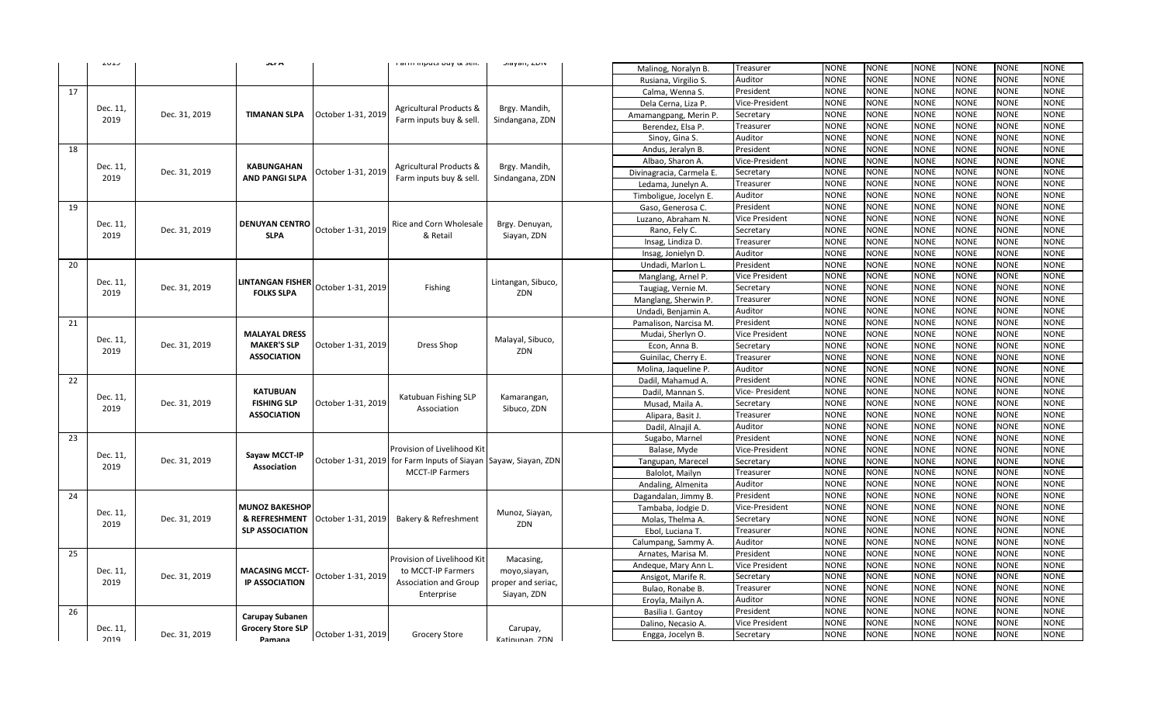|    | دعات             |                     | JEF M                                                                |                                             | rarm mputo nay ex ocm                                                                          | Jiayani, LUIV             | Malinog, Noralyn B.      | Treasurer                                                                                                                                                      | <b>NONE</b> | <b>NONE</b> | <b>NONE</b> | <b>NONE</b> | <b>NONE</b> | <b>NONE</b> |
|----|------------------|---------------------|----------------------------------------------------------------------|---------------------------------------------|------------------------------------------------------------------------------------------------|---------------------------|--------------------------|----------------------------------------------------------------------------------------------------------------------------------------------------------------|-------------|-------------|-------------|-------------|-------------|-------------|
|    |                  |                     |                                                                      |                                             |                                                                                                |                           | Rusiana, Virgilio S.     | Auditor                                                                                                                                                        | <b>NONE</b> | <b>NONE</b> | <b>NONE</b> | <b>NONE</b> | <b>NONE</b> | <b>NONE</b> |
| 17 |                  |                     |                                                                      |                                             |                                                                                                |                           | Calma, Wenna S.          | President                                                                                                                                                      | <b>NONE</b> | <b>NONE</b> | <b>NONE</b> | <b>NONE</b> | <b>NONE</b> | <b>NONE</b> |
|    |                  |                     |                                                                      |                                             |                                                                                                |                           | Dela Cerna, Liza P.      | Vice-President                                                                                                                                                 | <b>NONE</b> | <b>NONE</b> | <b>NONE</b> | <b>NONE</b> | <b>NONE</b> | <b>NONE</b> |
|    | Dec. 11,         | Dec. 31, 2019       | <b>TIMANAN SLPA</b>                                                  | October 1-31, 2019                          | Agricultural Products &<br>Farm inputs buy & sell.                                             | Brgy. Mandih,             | Amamangpang, Merin P.    | Secretary                                                                                                                                                      | <b>NONE</b> | <b>NONE</b> | <b>NONE</b> | <b>NONE</b> | <b>NONE</b> | <b>NONE</b> |
|    | 2019             |                     |                                                                      |                                             |                                                                                                | Sindangana, ZDN           | Berendez, Elsa P         | Treasurer                                                                                                                                                      | <b>NONE</b> | <b>NONE</b> | <b>NONE</b> | <b>NONE</b> | <b>NONE</b> | <b>NONE</b> |
|    |                  |                     |                                                                      |                                             |                                                                                                |                           | Sinoy, Gina S.           | Auditor                                                                                                                                                        | <b>NONE</b> | <b>NONE</b> | <b>NONE</b> | <b>NONE</b> | <b>NONE</b> | <b>NONE</b> |
| 18 |                  |                     |                                                                      |                                             |                                                                                                |                           | Andus, Jeralyn B.        | President                                                                                                                                                      | <b>NONE</b> | <b>NONE</b> | <b>NONE</b> | <b>NONE</b> | <b>NONE</b> | <b>NONE</b> |
|    |                  |                     |                                                                      |                                             |                                                                                                |                           | Albao, Sharon A.         | Vice-President                                                                                                                                                 | <b>NONE</b> | NONE        | NONE        | <b>NONE</b> | <b>NONE</b> | NONE        |
|    | Dec. 11,         | Dec. 31, 2019       | KABUNGAHAN                                                           | October 1-31, 2019                          | Agricultural Products &                                                                        | Brgy. Mandih,             | Divinagracia, Carmela E. | Secretary                                                                                                                                                      | <b>NONE</b> | <b>NONE</b> | <b>NONE</b> | <b>NONE</b> | <b>NONE</b> | <b>NONE</b> |
|    | 2019             |                     | AND PANGI SLPA                                                       |                                             | Farm inputs buy & sell.                                                                        | Sindangana, ZDN           | Ledama, Junelyn A.       | Treasurer                                                                                                                                                      | <b>NONE</b> | <b>NONE</b> | <b>NONE</b> | <b>NONE</b> | <b>NONE</b> | NONE        |
|    |                  |                     |                                                                      |                                             |                                                                                                |                           | Timboligue, Jocelyn E.   | Auditor                                                                                                                                                        | <b>NONE</b> | <b>NONE</b> | <b>NONE</b> | <b>NONE</b> | <b>NONE</b> | <b>NONE</b> |
| 19 |                  |                     |                                                                      |                                             |                                                                                                |                           | Gaso, Generosa C.        | President                                                                                                                                                      | <b>NONE</b> | <b>NONE</b> | <b>NONE</b> | <b>NONE</b> | <b>NONE</b> | NONE        |
|    |                  |                     | <b>DENUYAN CENTRO</b>                                                |                                             |                                                                                                |                           | Luzano, Abraham N.       | Vice President                                                                                                                                                 | <b>NONE</b> | <b>NONE</b> | <b>NONE</b> | <b>NONE</b> | <b>NONE</b> | <b>NONE</b> |
|    | Dec. 11,         | Dec. 31, 2019       |                                                                      | October 1-31, 2019                          | Rice and Corn Wholesale                                                                        | Brgy. Denuyan,            | Rano, Fely C.            | Secretary                                                                                                                                                      | <b>NONE</b> | <b>NONE</b> | <b>NONE</b> | <b>NONE</b> | <b>NONE</b> | <b>NONE</b> |
|    |                  | <b>SLPA</b><br>2019 |                                                                      |                                             | & Retail                                                                                       | Siayan, ZDN               | Insag, Lindiza D.        | Treasurer                                                                                                                                                      | <b>NONE</b> | <b>NONE</b> | <b>NONE</b> | <b>NONE</b> | <b>NONE</b> | <b>NONE</b> |
|    |                  |                     |                                                                      |                                             |                                                                                                |                           | Insag, Jonielyn D.       | Auditor                                                                                                                                                        | <b>NONE</b> | <b>NONE</b> | <b>NONE</b> | <b>NONE</b> | <b>NONE</b> | <b>NONE</b> |
| 20 |                  |                     |                                                                      |                                             |                                                                                                |                           | Undadi, Marlon L         | President                                                                                                                                                      | <b>NONE</b> | <b>NONE</b> | <b>NONE</b> | <b>NONE</b> | <b>NONE</b> | <b>NONE</b> |
|    |                  |                     |                                                                      |                                             |                                                                                                |                           | Manglang, Arnel P.       | Vice President                                                                                                                                                 | NONE        | <b>NONE</b> | <b>NONE</b> | <b>NONE</b> | <b>NONE</b> | <b>NONE</b> |
|    | Dec. 11,         | Dec. 31, 2019       | <b>LINTANGAN FISHER</b>                                              | October 1-31, 2019                          | Fishing                                                                                        | Lintangan, Sibuco,        | Taugiag, Vernie M.       | <b>NONE</b><br><b>NONE</b><br>NONE<br><b>NONE</b><br><b>NONE</b><br>Secretary<br><b>NONE</b><br><b>NONE</b><br><b>NONE</b><br>NONE<br><b>NONE</b><br>Treasurer | <b>NONE</b> |             |             |             |             |             |
|    | 2019             |                     | <b>FOLKS SLPA</b>                                                    |                                             | ZDN<br>Manglang, Sherwin P.<br><b>NONE</b><br>Auditor<br>Undadi, Benjamin A.                   |                           |                          |                                                                                                                                                                |             | <b>NONE</b> |             |             |             |             |
|    |                  |                     |                                                                      |                                             |                                                                                                |                           |                          |                                                                                                                                                                |             | <b>NONE</b> | <b>NONE</b> | <b>NONE</b> | <b>NONE</b> | <b>NONE</b> |
| 21 |                  |                     |                                                                      |                                             |                                                                                                |                           | Pamalison, Narcisa M.    | President                                                                                                                                                      | <b>NONE</b> | <b>NONE</b> | <b>NONE</b> | NONE        | <b>NONE</b> | <b>NONE</b> |
|    |                  |                     | <b>MALAYAL DRESS</b>                                                 |                                             |                                                                                                |                           | Mudai, Sherlyn O.        | /ice President                                                                                                                                                 | <b>NONE</b> | <b>NONE</b> | <b>NONE</b> | <b>NONE</b> | <b>NONE</b> | <b>NONE</b> |
|    | Dec. 11,         | Dec. 31, 2019       | <b>MAKER'S SLP</b>                                                   | October 1-31, 2019                          | Dress Shop                                                                                     | Malayal, Sibuco,          | Econ, Anna B.            | Secretary                                                                                                                                                      | <b>NONE</b> | <b>NONE</b> | <b>NONE</b> | <b>NONE</b> | <b>NONE</b> | <b>NONE</b> |
|    | 2019             |                     | <b>ASSOCIATION</b>                                                   |                                             |                                                                                                | ZDN                       | Guinilac, Cherry E.      | Treasurer                                                                                                                                                      | <b>NONE</b> | <b>NONE</b> | <b>NONE</b> | <b>NONE</b> | <b>NONE</b> | <b>NONE</b> |
|    |                  |                     |                                                                      |                                             |                                                                                                |                           | Molina, Jaqueline P.     | Auditor                                                                                                                                                        | <b>NONE</b> | NONE        | <b>NONE</b> | <b>NONE</b> | <b>NONE</b> | NONE        |
| 22 |                  |                     |                                                                      |                                             | Katubuan Fishing SLP<br>Association                                                            | Kamarangan,               | Dadil, Mahamud A.        | President                                                                                                                                                      | <b>NONE</b> | <b>NONE</b> | <b>NONE</b> | <b>NONE</b> | <b>NONE</b> | <b>NONE</b> |
|    |                  |                     | <b>KATUBUAN</b>                                                      |                                             |                                                                                                |                           | Dadil, Mannan S.         | Vice- President                                                                                                                                                | <b>NONE</b> | <b>NONE</b> | <b>NONE</b> | NONE        | <b>NONE</b> | NONE        |
|    | Dec. 11,         | Dec. 31, 2019       | <b>FISHING SLP</b>                                                   | October 1-31, 2019                          |                                                                                                |                           | Musad, Maila A.          | Secretary                                                                                                                                                      | <b>NONE</b> | <b>NONE</b> | <b>NONE</b> | <b>NONE</b> | <b>NONE</b> | <b>NONE</b> |
|    | 2019             |                     | <b>ASSOCIATION</b>                                                   |                                             |                                                                                                | Sibuco, ZDN               | Alipara, Basit J.        | Treasurer                                                                                                                                                      | <b>NONE</b> | <b>NONE</b> | NONE        | <b>NONE</b> | <b>NONE</b> | NONE        |
|    |                  |                     |                                                                      |                                             |                                                                                                |                           | Dadil, Alnajil A.        | Auditor                                                                                                                                                        | <b>NONE</b> | <b>NONE</b> | <b>NONE</b> | <b>NONE</b> | <b>NONE</b> | <b>NONE</b> |
| 23 |                  |                     |                                                                      |                                             | Provision of Livelihood Kit<br>October 1-31, 2019 for Farm Inputs of Siayan Sayaw, Siayan, ZDN |                           | Sugabo, Marnel           | President                                                                                                                                                      | <b>NONE</b> | <b>NONE</b> | <b>NONE</b> | <b>NONE</b> | <b>NONE</b> | <b>NONE</b> |
|    |                  |                     |                                                                      |                                             |                                                                                                |                           | Balase, Myde             | Vice-President                                                                                                                                                 | <b>NONE</b> | NONE        | <b>NONE</b> | <b>NONE</b> | <b>NONE</b> | <b>NONE</b> |
|    | Dec. 11,<br>2019 | Dec. 31, 2019       | Sayaw MCCT-IP                                                        |                                             |                                                                                                |                           | Tangupan, Marecel        | Secretary                                                                                                                                                      | <b>NONE</b> | <b>NONE</b> | <b>NONE</b> | <b>NONE</b> | <b>NONE</b> | <b>NONE</b> |
|    |                  |                     | Association                                                          |                                             | <b>MCCT-IP Farmers</b>                                                                         |                           | Balolot, Mailyn          | Treasurer                                                                                                                                                      | <b>NONE</b> | <b>NONE</b> | <b>NONE</b> | <b>NONE</b> | <b>NONE</b> | <b>NONE</b> |
|    |                  |                     |                                                                      |                                             |                                                                                                |                           | Andaling, Almenita       | Auditor                                                                                                                                                        | <b>NONE</b> | <b>NONE</b> | <b>NONE</b> | <b>NONE</b> | <b>NONE</b> | <b>NONE</b> |
| 24 |                  |                     |                                                                      |                                             |                                                                                                |                           | Dagandalan, Jimmy B.     | President                                                                                                                                                      | <b>NONE</b> | <b>NONE</b> | <b>NONE</b> | <b>NONE</b> | <b>NONE</b> | <b>NONE</b> |
|    |                  |                     | <b>MUNOZ BAKESHOP</b>                                                |                                             |                                                                                                |                           | Tambaba, Jodgie D.       | Vice-President                                                                                                                                                 | NONE        | <b>NONE</b> | <b>NONE</b> | NONE        | <b>NONE</b> | NONE        |
|    | Dec. 11,<br>2019 | Dec. 31, 2019       | & REFRESHMENT                                                        | October 1-31, 2019                          | Bakery & Refreshment                                                                           | Munoz, Siayan,<br>ZDN     | Molas, Thelma A          | Secretary                                                                                                                                                      | <b>NONE</b> | <b>NONE</b> | <b>NONE</b> | <b>NONE</b> | <b>NONE</b> | <b>NONE</b> |
|    |                  |                     | <b>SLP ASSOCIATION</b>                                               |                                             |                                                                                                |                           | Ebol, Luciana T.         | Treasurer                                                                                                                                                      | <b>NONE</b> | <b>NONE</b> | <b>NONE</b> | <b>NONE</b> | <b>NONE</b> | <b>NONE</b> |
|    |                  |                     |                                                                      |                                             |                                                                                                |                           | Calumpang, Sammy A.      | Auditor                                                                                                                                                        | <b>NONE</b> | <b>NONE</b> | <b>NONE</b> | <b>NONE</b> | <b>NONE</b> | <b>NONE</b> |
| 25 |                  |                     |                                                                      |                                             | Provision of Livelihood Kit                                                                    | Macasing,                 | Arnates, Marisa M.       | President                                                                                                                                                      | <b>NONE</b> | <b>NONE</b> | <b>NONE</b> | NONE        | <b>NONE</b> | <b>NONE</b> |
|    | Dec. 11,         |                     |                                                                      |                                             |                                                                                                |                           | Andeque, Mary Ann L      | Vice President                                                                                                                                                 | <b>NONE</b> | NONE        | <b>NONE</b> | <b>NONE</b> | <b>NONE</b> | <b>NONE</b> |
|    | 2019             | Dec. 31, 2019       | <b>MACASING MCCT-</b><br>October 1-31, 2019<br><b>IP ASSOCIATION</b> | to MCCT-IP Farmers<br>Association and Group | moyo,siayan,<br>proper and seriac,                                                             | Ansigot, Marife R.        | Secretary                | <b>NONE</b>                                                                                                                                                    | <b>NONE</b> | <b>NONE</b> | <b>NONE</b> | <b>NONE</b> | <b>NONE</b> |             |
|    |                  |                     |                                                                      |                                             | Enterprise                                                                                     | Siayan, ZDN               | Bulao, Ronabe B.         | Treasurer                                                                                                                                                      | <b>NONE</b> | <b>NONE</b> | <b>NONE</b> | <b>NONE</b> | <b>NONE</b> | <b>NONE</b> |
|    |                  |                     |                                                                      |                                             |                                                                                                |                           | Eroyla, Mailyn A.        | Auditor                                                                                                                                                        | <b>NONE</b> | NONE        | NONE        | <b>NONE</b> | <b>NONE</b> | NONE        |
| 26 |                  |                     | <b>Carupay Subanen</b>                                               |                                             |                                                                                                |                           | Basilia I. Gantoy        | President                                                                                                                                                      | <b>NONE</b> | <b>NONE</b> | <b>NONE</b> | NONE        | <b>NONE</b> | <b>NONE</b> |
|    | Dec. 11,         |                     | <b>Grocery Store SLP</b>                                             |                                             |                                                                                                |                           | Dalino, Necasio A.       | Vice President                                                                                                                                                 | <b>NONE</b> | <b>NONE</b> | NONE        | <b>NONE</b> | <b>NONE</b> | NONE        |
|    | 2019             | Dec. 31, 2019       | Damana                                                               | October 1-31, 2019                          | Grocery Store                                                                                  | Carupay,<br>Katinunan 7DN | Engga, Jocelyn B.        | Secretary                                                                                                                                                      | <b>NONE</b> | <b>NONE</b> | <b>NONE</b> | <b>NONE</b> | <b>NONE</b> | NONE        |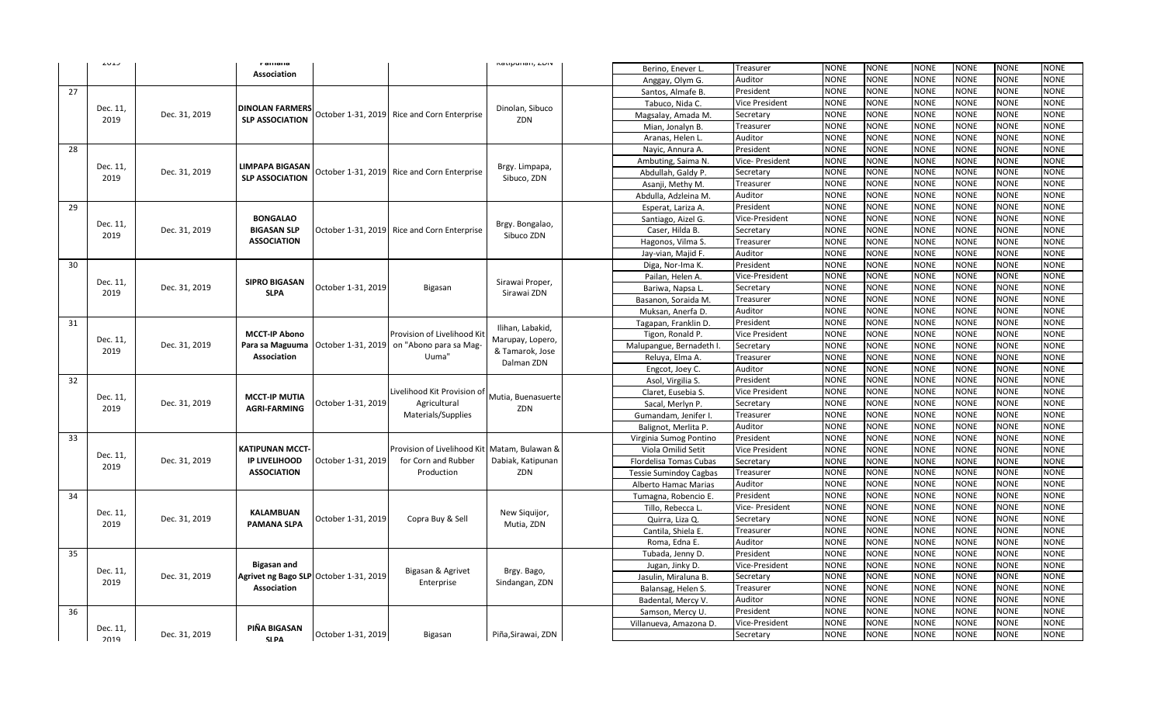|    | ر د نام                   |                    | r amana                |                                        |                                                                                   | Katipunan, LDIY                     | Berino, Enever L              | Treasurer                                                             | <b>NONE</b>                | <b>NONE</b> | <b>NONE</b>                | <b>NONE</b> | <b>NONE</b>                | <b>NONE</b> |
|----|---------------------------|--------------------|------------------------|----------------------------------------|-----------------------------------------------------------------------------------|-------------------------------------|-------------------------------|-----------------------------------------------------------------------|----------------------------|-------------|----------------------------|-------------|----------------------------|-------------|
|    |                           |                    | <b>Association</b>     |                                        |                                                                                   |                                     | Anggay, Olym G.               | Auditor                                                               | <b>NONE</b>                | <b>NONE</b> | <b>NONE</b>                | <b>NONE</b> | <b>NONE</b>                | <b>NONE</b> |
| 27 |                           |                    |                        |                                        |                                                                                   |                                     | Santos, Almafe B.             | President                                                             | <b>NONE</b>                | <b>NONE</b> | <b>NONE</b>                | NONE        | <b>NONE</b>                | NONE        |
|    |                           |                    |                        |                                        |                                                                                   |                                     | Tabuco, Nida C.               | Vice President                                                        | <b>NONE</b>                | <b>NONE</b> | <b>NONE</b>                | <b>NONE</b> | <b>NONE</b>                | <b>NONE</b> |
|    | Dec. 11,                  | Dec. 31, 2019      | <b>DINOLAN FARMERS</b> | October 1-31, 2019                     | Rice and Corn Enterprise                                                          | Dinolan, Sibuco                     | Magsalay, Amada M.            | Secretary                                                             | <b>NONE</b>                | <b>NONE</b> | <b>NONE</b>                | <b>NONE</b> | <b>NONE</b>                | <b>NONE</b> |
|    | 2019                      |                    | <b>SLP ASSOCIATION</b> |                                        |                                                                                   | ZDN                                 | Mian, Jonalyn B.              | Treasurer                                                             | <b>NONE</b>                | <b>NONE</b> | <b>NONE</b>                | <b>NONE</b> | <b>NONE</b>                | <b>NONE</b> |
|    |                           |                    |                        |                                        |                                                                                   |                                     | Aranas, Helen L               | Auditor                                                               | <b>NONE</b>                | <b>NONE</b> | <b>NONE</b>                | <b>NONE</b> | <b>NONE</b>                | <b>NONE</b> |
| 28 |                           |                    |                        |                                        |                                                                                   |                                     | Nayic, Annura A.              | President                                                             | <b>NONE</b>                | <b>NONE</b> | <b>NONE</b>                | <b>NONE</b> | <b>NONE</b>                | <b>NONE</b> |
|    |                           |                    |                        |                                        |                                                                                   |                                     | Ambuting, Saima N.            | Vice- President                                                       | <b>NONE</b>                | <b>NONE</b> | <b>NONE</b>                | <b>NONE</b> | <b>NONE</b>                | <b>NONE</b> |
|    | Dec. 11,                  | Dec. 31, 2019      | <b>LIMPAPA BIGASAN</b> | October 1-31, 2019                     | Rice and Corn Enterprise                                                          | Brgy. Limpapa,                      | Abdullah, Galdy P.            | Secretary                                                             | <b>NONE</b>                | <b>NONE</b> | <b>NONE</b>                | <b>NONE</b> | <b>NONE</b>                | <b>NONE</b> |
|    | 2019                      |                    | <b>SLP ASSOCIATION</b> |                                        |                                                                                   | Sibuco, ZDN                         | Asanji, Methy M               | Treasurer                                                             | <b>NONE</b>                | <b>NONE</b> | <b>NONE</b>                | <b>NONE</b> | <b>NONE</b>                | <b>NONE</b> |
|    |                           |                    |                        |                                        |                                                                                   |                                     | Abdulla, Adzleina M.          | Auditor                                                               | <b>NONE</b>                | <b>NONE</b> | <b>NONE</b>                | <b>NONE</b> | <b>NONE</b>                | <b>NONE</b> |
| 29 |                           |                    |                        |                                        |                                                                                   |                                     | Esperat, Lariza A.            | President                                                             | <b>NONE</b>                | <b>NONE</b> | <b>NONE</b>                | <b>NONE</b> | <b>NONE</b>                | <b>NONE</b> |
|    |                           |                    | <b>BONGALAO</b>        |                                        |                                                                                   |                                     | Santiago, Aizel G.            | Vice-President                                                        | <b>NONE</b>                | <b>NONE</b> | <b>NONE</b>                | <b>NONE</b> | <b>NONE</b>                | <b>NONE</b> |
|    | Dec. 11,<br>Dec. 31, 2019 | <b>BIGASAN SLP</b> | October 1-31, 2019     | Rice and Corn Enterprise               | Brgy. Bongalao,                                                                   | Caser, Hilda B.                     | Secretary                     | <b>NONE</b>                                                           | <b>NONE</b>                | <b>NONE</b> | <b>NONE</b>                | <b>NONE</b> | <b>NONE</b>                |             |
|    | 2019                      |                    | <b>ASSOCIATION</b>     |                                        |                                                                                   | Sibuco ZDN                          | Hagonos, Vilma S.             | Treasurer                                                             | <b>NONE</b>                | <b>NONE</b> | <b>NONE</b>                | <b>NONE</b> | <b>NONE</b>                | <b>NONE</b> |
|    |                           |                    |                        |                                        |                                                                                   |                                     | Jay-vian, Majid F.            | Auditor                                                               | <b>NONE</b>                | <b>NONE</b> | <b>NONE</b>                | <b>NONE</b> | <b>NONE</b>                | <b>NONE</b> |
| 30 |                           |                    |                        |                                        |                                                                                   |                                     | Diga, Nor-Ima K.              | President                                                             | <b>NONE</b>                | <b>NONE</b> | <b>NONE</b>                | <b>NONE</b> | <b>NONE</b>                | <b>NONE</b> |
|    |                           |                    |                        |                                        |                                                                                   |                                     | Pailan, Helen A.              | Vice-President                                                        | <b>NONE</b>                | <b>NONE</b> | <b>NONE</b>                | <b>NONE</b> | <b>NONE</b>                | <b>NONE</b> |
|    | Dec. 11,                  | Dec. 31, 2019      | <b>SIPRO BIGASAN</b>   | October 1-31, 2019                     | Bigasan                                                                           | Sirawai Proper,<br>Sirawai ZDN      | Bariwa, Napsa L.              | Secretary                                                             | <b>NONE</b>                | <b>NONE</b> | <b>NONE</b>                | <b>NONE</b> | <b>NONE</b>                | <b>NONE</b> |
|    | 2019                      |                    | <b>SLPA</b>            |                                        |                                                                                   |                                     | Basanon, Soraida M            | <b>NONE</b><br><b>NONE</b><br><b>NONE</b><br><b>NONE</b><br>Treasurer | <b>NONE</b>                | <b>NONE</b> |                            |             |                            |             |
|    |                           |                    |                        |                                        |                                                                                   |                                     | Muksan, Anerfa D.             | Auditor                                                               | <b>NONE</b>                | NONE        | NONE                       | <b>NONE</b> | <b>NONE</b>                | NONE        |
| 31 |                           |                    |                        |                                        |                                                                                   |                                     | Tagapan, Franklin D.          | President                                                             | <b>NONE</b>                | <b>NONE</b> | <b>NONE</b>                | <b>NONE</b> | <b>NONE</b>                | <b>NONE</b> |
|    |                           |                    | <b>MCCT-IP Abono</b>   |                                        | Provision of Livelihood Kit                                                       | Ilihan, Labakid,                    | Tigon, Ronald P.              | Vice President                                                        | <b>NONE</b>                | NONE        | NONE                       | <b>NONE</b> | <b>NONE</b>                | NONE        |
|    | Dec. 11,<br>2019          | Dec. 31, 2019      | Para sa Maguuma        | October 1-31, 2019                     | on "Abono para sa Mag-                                                            | Marupay, Lopero,<br>& Tamarok, Jose | Malupangue, Bernadeth I       | Secretary                                                             | <b>NONE</b>                | <b>NONE</b> | <b>NONE</b>                | <b>NONE</b> | <b>NONE</b>                | <b>NONE</b> |
|    |                           |                    | Association            |                                        | Uuma"                                                                             | Dalman ZDN                          | Reluya, Elma A.               | Treasurer                                                             | <b>NONE</b>                | <b>NONE</b> | <b>NONE</b>                | NONE        | NONE                       | NONE        |
|    |                           |                    |                        |                                        |                                                                                   |                                     | Engcot, Joey C.               | Auditor                                                               | <b>NONE</b>                | <b>NONE</b> | <b>NONE</b>                | <b>NONE</b> | <b>NONE</b>                | NONE        |
| 32 |                           |                    |                        |                                        | Livelihood Kit Provision of<br>Agricultural<br>Materials/Supplies                 | Mutia, Buenasuerte<br>ZDN           | Asol, Virgilia S.             | President                                                             | <b>NONE</b>                | <b>NONE</b> | NONE                       | <b>NONE</b> | NONE                       | NONE        |
|    | Dec. 11,                  |                    | <b>MCCT-IP MUTIA</b>   |                                        |                                                                                   |                                     | Claret, Eusebia S.            | Vice President                                                        | <b>NONE</b>                | <b>NONE</b> | <b>NONE</b>                | <b>NONE</b> | <b>NONE</b>                | NONE        |
|    | 2019                      | Dec. 31, 2019      | <b>AGRI-FARMING</b>    | October 1-31, 2019                     |                                                                                   |                                     | Sacal, Merlyn P.              | Secretary                                                             | <b>NONE</b>                | <b>NONE</b> | NONE                       | <b>NONE</b> | <b>NONE</b>                | NONE        |
|    |                           |                    |                        |                                        |                                                                                   |                                     | Gumandam, Jenifer I.          | Treasurer                                                             | NONE                       | <b>NONE</b> | <b>NONE</b>                | <b>NONE</b> | <b>NONE</b>                | <b>NONE</b> |
|    |                           |                    |                        |                                        |                                                                                   |                                     | Balignot, Merlita P.          | Auditor                                                               | <b>NONE</b>                | <b>NONE</b> | NONE                       | <b>NONE</b> | <b>NONE</b>                | <b>NONE</b> |
| 33 |                           |                    |                        |                                        | Provision of Livelihood Kit Matam, Bulawan &<br>for Corn and Rubber<br>Production |                                     | Virginia Sumog Pontino        | President                                                             | <b>NONE</b>                | <b>NONE</b> | <b>NONE</b>                | <b>NONE</b> | <b>NONE</b>                | <b>NONE</b> |
|    | Dec. 11,                  |                    | KATIPUNAN MCCT-        | October 1-31, 2019                     |                                                                                   | Dabiak, Katipunan<br>ZDN            | Viola Omilid Setit            | Vice President                                                        | <b>NONE</b>                | <b>NONE</b> | <b>NONE</b>                | <b>NONE</b> | <b>NONE</b>                | <b>NONE</b> |
|    | 2019                      | Dec. 31, 2019      | <b>IP LIVELIHOOD</b>   |                                        |                                                                                   |                                     | Flordelisa Tomas Cubas        | Secretary                                                             | <b>NONE</b>                | <b>NONE</b> | <b>NONE</b>                | <b>NONE</b> | <b>NONE</b>                | <b>NONE</b> |
|    |                           |                    | <b>ASSOCIATION</b>     |                                        |                                                                                   |                                     | <b>Tessie Sumindoy Cagbas</b> | Treasurer                                                             | <b>NONE</b>                | NONE        | <b>NONE</b>                | NONE        | <b>NONE</b>                | <b>NONE</b> |
|    |                           |                    |                        |                                        |                                                                                   |                                     | Alberto Hamac Marias          | Auditor                                                               | <b>NONE</b>                | <b>NONE</b> | <b>NONE</b>                | <b>NONE</b> | <b>NONE</b>                | <b>NONE</b> |
| 34 |                           |                    |                        |                                        |                                                                                   |                                     | Tumagna, Robencio E.          | President                                                             | <b>NONE</b>                | <b>NONE</b> | <b>NONE</b>                | <b>NONE</b> | <b>NONE</b>                | <b>NONE</b> |
|    | Dec. 11,                  |                    | <b>KALAMBUAN</b>       |                                        |                                                                                   | New Siquijor,                       | Tillo, Rebecca L.             | Vice- President                                                       | <b>NONE</b>                | <b>NONE</b> | <b>NONE</b>                | <b>NONE</b> | <b>NONE</b>                | <b>NONE</b> |
|    | 2019                      | Dec. 31, 2019      | <b>PAMANA SLPA</b>     | October 1-31, 2019                     | Copra Buy & Sell                                                                  | Mutia, ZDN                          | Quirra, Liza Q.               | Secretary                                                             | <b>NONE</b>                | <b>NONE</b> | <b>NONE</b>                | <b>NONE</b> | <b>NONE</b>                | NONE        |
|    |                           |                    |                        |                                        |                                                                                   |                                     | Cantila, Shiela E.            | Treasurer                                                             | <b>NONE</b>                | <b>NONE</b> | <b>NONE</b>                | <b>NONE</b> | <b>NONE</b>                | <b>NONE</b> |
|    |                           |                    |                        |                                        |                                                                                   |                                     | Roma, Edna E.                 | Auditor                                                               | <b>NONE</b>                | <b>NONE</b> | <b>NONE</b>                | <b>NONE</b> | <b>NONE</b>                | <b>NONE</b> |
| 35 |                           |                    |                        |                                        |                                                                                   |                                     | Tubada, Jenny D.              | President                                                             | <b>NONE</b>                | <b>NONE</b> | <b>NONE</b>                | <b>NONE</b> | <b>NONE</b>                | <b>NONE</b> |
|    | Dec. 11,                  |                    | <b>Bigasan and</b>     |                                        | Bigasan & Agrivet                                                                 | Brgy. Bago,                         | Jugan, Jinky D.               | Vice-President                                                        | <b>NONE</b>                | <b>NONE</b> | <b>NONE</b>                | <b>NONE</b> | <b>NONE</b>                | <b>NONE</b> |
|    | 2019                      | Dec. 31, 2019      |                        | Agrivet ng Bago SLP October 1-31, 2019 | Enterprise                                                                        | Sindangan, ZDN                      | Jasulin, Miraluna B.          | Secretary                                                             | <b>NONE</b>                | <b>NONE</b> | <b>NONE</b><br><b>NONE</b> | <b>NONE</b> | <b>NONE</b>                | <b>NONE</b> |
|    |                           |                    | Association            |                                        |                                                                                   |                                     | Balansag, Helen S.            | Treasurer                                                             | <b>NONE</b>                | <b>NONE</b> |                            | <b>NONE</b> | <b>NONE</b>                | <b>NONE</b> |
|    |                           |                    |                        |                                        |                                                                                   |                                     | Badental, Mercy V.            | Auditor                                                               | <b>NONE</b>                | <b>NONE</b> | <b>NONE</b><br><b>NONE</b> | <b>NONE</b> | <b>NONE</b><br><b>NONE</b> | <b>NONE</b> |
| 36 |                           |                    |                        |                                        |                                                                                   |                                     | Samson, Mercy U.              | President                                                             | <b>NONE</b><br><b>NONE</b> | <b>NONE</b> |                            | NONE        | <b>NONE</b>                | NONE        |
|    | Dec. 11,                  |                    | PIÑA BIGASAN           |                                        |                                                                                   |                                     | Villanueva, Amazona D.        | Vice-President                                                        |                            | NONE        | NONE                       | NONE        |                            | NONE        |
|    | 2019                      | Dec. 31, 2019      | SI PA                  | October 1-31, 2019                     | Bigasan                                                                           | Piña, Sirawai, ZDN                  |                               | Secretary                                                             | <b>NONE</b>                | <b>NONE</b> | <b>NONE</b>                | <b>NONE</b> | <b>NONE</b>                | NONE        |